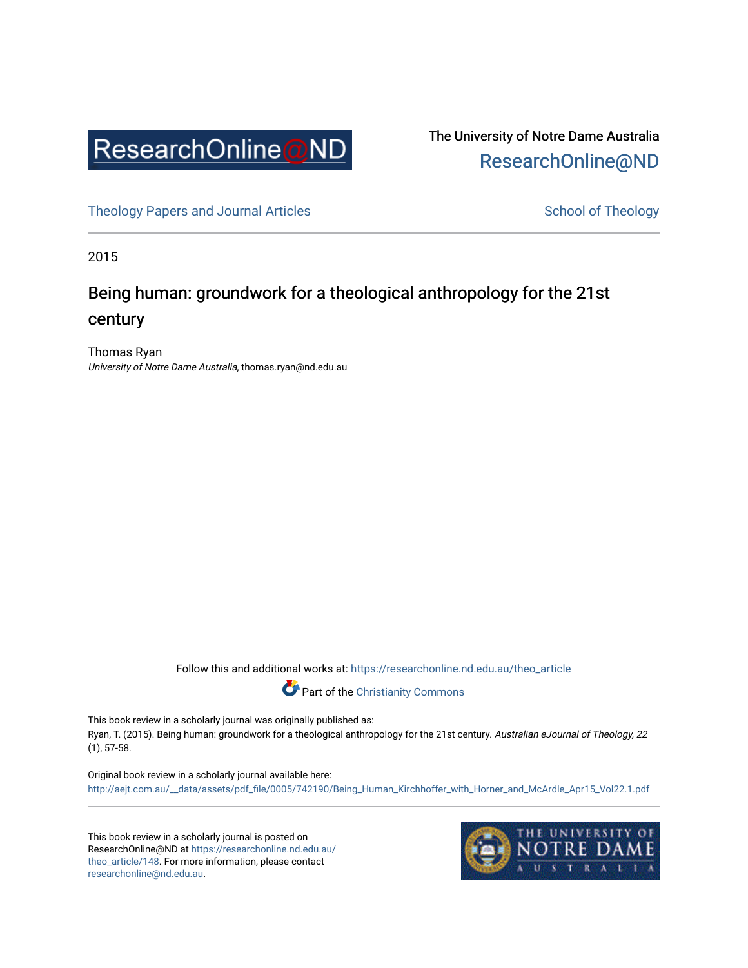

The University of Notre Dame Australia [ResearchOnline@ND](https://researchonline.nd.edu.au/) 

[Theology Papers and Journal Articles](https://researchonline.nd.edu.au/theo_article) and [School of Theology](https://researchonline.nd.edu.au/theo) School of Theology

2015

## Being human: groundwork for a theological anthropology for the 21st century

Thomas Ryan University of Notre Dame Australia, thomas.ryan@nd.edu.au

Follow this and additional works at: [https://researchonline.nd.edu.au/theo\\_article](https://researchonline.nd.edu.au/theo_article?utm_source=researchonline.nd.edu.au%2Ftheo_article%2F148&utm_medium=PDF&utm_campaign=PDFCoverPages) 



This book review in a scholarly journal was originally published as: Ryan, T. (2015). Being human: groundwork for a theological anthropology for the 21st century. Australian eJournal of Theology, 22 (1), 57-58.

Original book review in a scholarly journal available here: [http://aejt.com.au/\\_\\_data/assets/pdf\\_file/0005/742190/Being\\_Human\\_Kirchhoffer\\_with\\_Horner\\_and\\_McArdle\\_Apr15\\_Vol22.1.pdf](http://aejt.com.au/__data/assets/pdf_file/0005/742190/Being_Human_Kirchhoffer_with_Horner_and_McArdle_Apr15_Vol22.1.pdf) 

This book review in a scholarly journal is posted on ResearchOnline@ND at [https://researchonline.nd.edu.au/](https://researchonline.nd.edu.au/theo_article/148) [theo\\_article/148](https://researchonline.nd.edu.au/theo_article/148). For more information, please contact [researchonline@nd.edu.au.](mailto:researchonline@nd.edu.au)

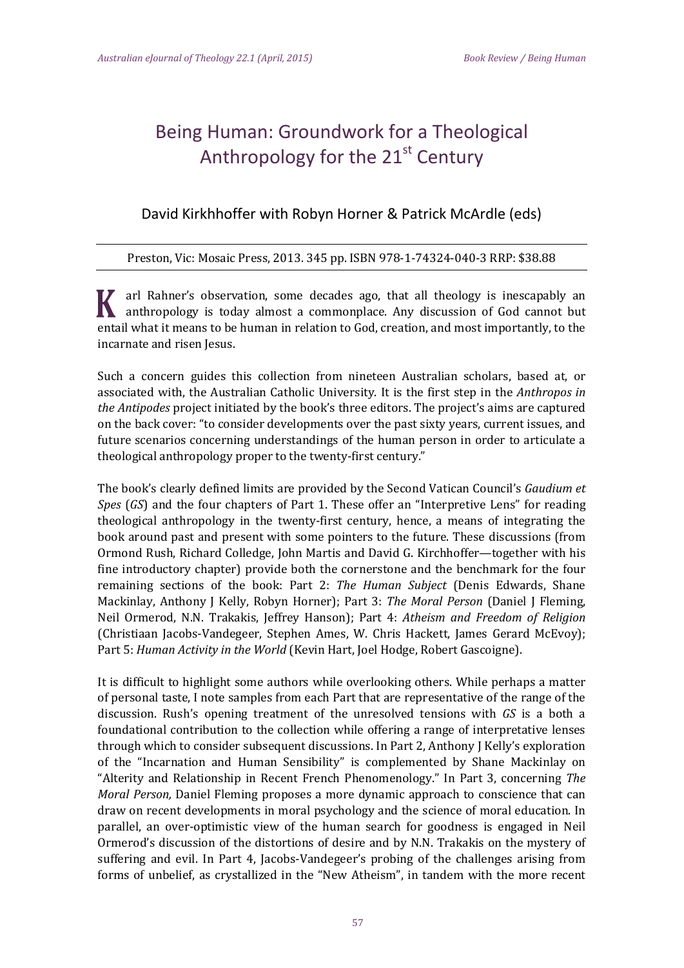## Being Human: Groundwork for a Theological Anthropology for the  $21<sup>st</sup>$  Century

## David Kirkhhoffer with Robyn Horner & Patrick McArdle (eds)

## Preston, Vic: Mosaic Press, 2013. 345 pp. ISBN 978-1-74324-040-3 RRP: \$38.88

arl Rahner's observation, some decades ago, that all theology is inescapably an **K** anthropology is today almost a commonplace. Any discussion of God cannot but entail what it means to be human in relation to God, creation, and most importantly, to the incarnate and risen Jesus.

Such a concern guides this collection from nineteen Australian scholars, based at, or associated with, the Australian Catholic University. It is the first step in the *Anthropos in the Antipodes* project initiated by the book's three editors. The project's aims are captured on the back cover: "to consider developments over the past sixty years, current issues, and future scenarios concerning understandings of the human person in order to articulate a theological anthropology proper to the twenty-first century."

The book's clearly defined limits are provided by the Second Vatican Council's *Gaudium et Spes* (*GS*) and the four chapters of Part 1. These offer an "Interpretive Lens" for reading theological anthropology in the twenty-first century, hence, a means of integrating the book around past and present with some pointers to the future. These discussions (from Ormond Rush, Richard Colledge, John Martis and David G. Kirchhoffer—together with his fine introductory chapter) provide both the cornerstone and the benchmark for the four remaining sections of the book: Part 2: *The Human Subject* (Denis Edwards, Shane Mackinlay, Anthony J Kelly, Robyn Horner); Part 3: *The Moral Person* (Daniel J Fleming, Neil Ormerod, N.N. Trakakis, Jeffrey Hanson); Part 4: *Atheism and Freedom of Religion* (Christiaan Jacobs-Vandegeer, Stephen Ames, W. Chris Hackett, James Gerard McEvoy); Part 5: *Human Activity in the World* (Kevin Hart, Joel Hodge, Robert Gascoigne).

It is difficult to highlight some authors while overlooking others. While perhaps a matter of personal taste, I note samples from each Part that are representative of the range of the discussion. Rush's opening treatment of the unresolved tensions with *GS* is a both a foundational contribution to the collection while offering a range of interpretative lenses through which to consider subsequent discussions. In Part 2, Anthony J Kelly's exploration of the "Incarnation and Human Sensibility" is complemented by Shane Mackinlay on "Alterity and Relationship in Recent French Phenomenology." In Part 3, concerning *The Moral Person,* Daniel Fleming proposes a more dynamic approach to conscience that can draw on recent developments in moral psychology and the science of moral education. In parallel, an over-optimistic view of the human search for goodness is engaged in Neil Ormerod's discussion of the distortions of desire and by N.N. Trakakis on the mystery of suffering and evil. In Part 4, Jacobs-Vandegeer's probing of the challenges arising from forms of unbelief, as crystallized in the "New Atheism", in tandem with the more recent